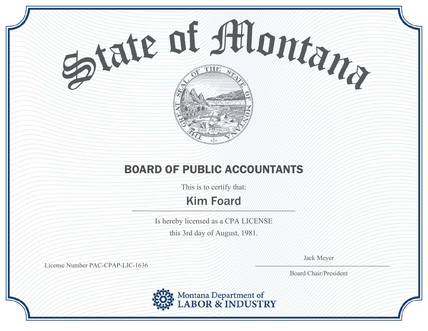

This is to certify that:

## Kim Foard

Is hereby licensed as a CPA LICENSE

this 3rd day of August, 1981.

Jack Meyer  $\frac{1}{2}$ 

License Number PAC-CPAP-LIC-1636

Board Chair/President

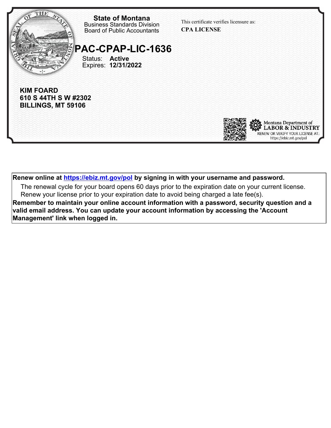

**Renew online at https://ebiz.mt.gov/pol by signing in with your username and password.**

The renewal cycle for your board opens 60 days prior to the expiration date on your current license. Renew your license prior to your expiration date to avoid being charged a late fee(s).

**Remember to maintain your online account information with a password, security question and a valid email address. You can update your account information by accessing the 'Account Management' link when logged in.**